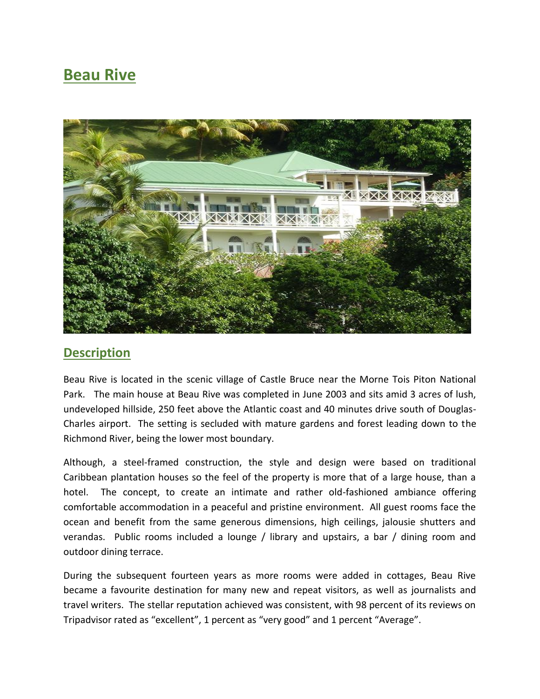## **Beau Rive**



## **Description**

Beau Rive is located in the scenic village of Castle Bruce near the Morne Tois Piton National Park. The main house at Beau Rive was completed in June 2003 and sits amid 3 acres of lush, undeveloped hillside, 250 feet above the Atlantic coast and 40 minutes drive south of Douglas-Charles airport. The setting is secluded with mature gardens and forest leading down to the Richmond River, being the lower most boundary.

Although, a steel-framed construction, the style and design were based on traditional Caribbean plantation houses so the feel of the property is more that of a large house, than a hotel. The concept, to create an intimate and rather old-fashioned ambiance offering comfortable accommodation in a peaceful and pristine environment. All guest rooms face the ocean and benefit from the same generous dimensions, high ceilings, jalousie shutters and verandas. Public rooms included a lounge / library and upstairs, a bar / dining room and outdoor dining terrace.

During the subsequent fourteen years as more rooms were added in cottages, Beau Rive became a favourite destination for many new and repeat visitors, as well as journalists and travel writers. The stellar reputation achieved was consistent, with 98 percent of its reviews on Tripadvisor rated as "excellent", 1 percent as "very good" and 1 percent "Average".